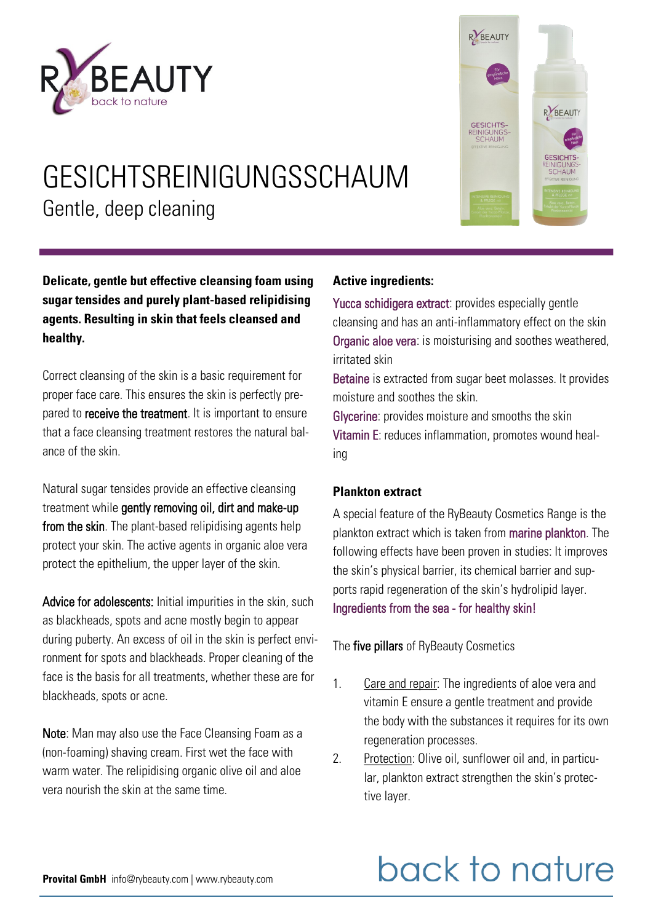



### GESICHTSREINIGUNGSSCHAUM Gentle, deep cleaning

**Delicate, gentle but effective cleansing foam using sugar tensides and purely plant-based relipidising agents. Resulting in skin that feels cleansed and healthy.** 

Correct cleansing of the skin is a basic requirement for proper face care. This ensures the skin is perfectly prepared to **receive the treatment**. It is important to ensure that a face cleansing treatment restores the natural balance of the skin.

Natural sugar tensides provide an effective cleansing treatment while gently removing oil, dirt and make-up from the skin. The plant-based relipidising agents help protect your skin. The active agents in organic aloe vera protect the epithelium, the upper layer of the skin.

Advice for adolescents: Initial impurities in the skin, such as blackheads, spots and acne mostly begin to appear during puberty. An excess of oil in the skin is perfect environment for spots and blackheads. Proper cleaning of the face is the basis for all treatments, whether these are for blackheads, spots or acne.

Note: Man may also use the Face Cleansing Foam as a (non-foaming) shaving cream. First wet the face with warm water. The relipidising organic olive oil and aloe vera nourish the skin at the same time.

#### **Active ingredients:**

Yucca schidigera extract: provides especially gentle cleansing and has an anti-inflammatory effect on the skin Organic aloe vera: is moisturising and soothes weathered, irritated skin

Betaine is extracted from sugar beet molasses. It provides moisture and soothes the skin.

Glycerine: provides moisture and smooths the skin Vitamin E: reduces inflammation, promotes wound healing

#### **Plankton extract**

A special feature of the RyBeauty Cosmetics Range is the plankton extract which is taken from marine plankton. The following effects have been proven in studies: It improves the skin's physical barrier, its chemical barrier and supports rapid regeneration of the skin's hydrolipid layer. Ingredients from the sea - for healthy skin!

The five pillars of RyBeauty Cosmetics

- 1. Care and repair: The ingredients of aloe vera and vitamin E ensure a gentle treatment and provide the body with the substances it requires for its own regeneration processes.
- 2. Protection: Olive oil, sunflower oil and, in particular, plankton extract strengthen the skin's protective layer.

## back to nature